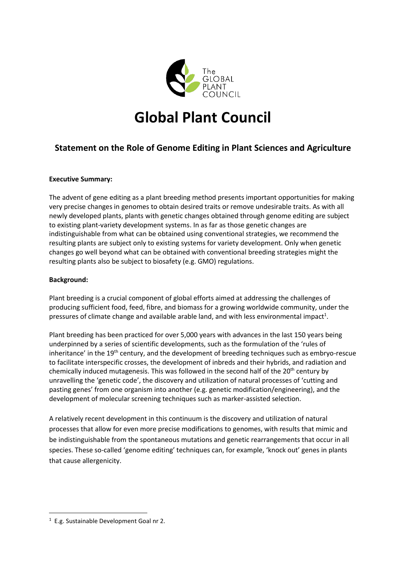

# **Global Plant Council**

## **Statement on the Role of Genome Editing in Plant Sciences and Agriculture**

### **Executive Summary:**

The advent of gene editing as a plant breeding method presents important opportunities for making very precise changes in genomes to obtain desired traits or remove undesirable traits. As with all newly developed plants, plants with genetic changes obtained through genome editing are subject to existing plant-variety development systems. In as far as those genetic changes are indistinguishable from what can be obtained using conventional strategies, we recommend the resulting plants are subject only to existing systems for variety development. Only when genetic changes go well beyond what can be obtained with conventional breeding strategies might the resulting plants also be subject to biosafety (e.g. GMO) regulations.

### **Background:**

Plant breeding is a crucial component of global efforts aimed at addressing the challenges of producing sufficient food, feed, fibre, and biomass for a growing worldwide community, under the pressures of climate change and available arable land, and with less environmental impact<sup>1</sup>.

Plant breeding has been practiced for over 5,000 years with advances in the last 150 years being underpinned by a series of scientific developments, such as the formulation of the 'rules of inheritance' in the 19<sup>th</sup> century, and the development of breeding techniques such as embryo-rescue to facilitate interspecific crosses, the development of inbreds and their hybrids, and radiation and chemically induced mutagenesis. This was followed in the second half of the  $20<sup>th</sup>$  century by unravelling the 'genetic code', the discovery and utilization of natural processes of 'cutting and pasting genes' from one organism into another (e.g. genetic modification/engineering), and the development of molecular screening techniques such as marker-assisted selection.

A relatively recent development in this continuum is the discovery and utilization of natural processes that allow for even more precise modifications to genomes, with results that mimic and be indistinguishable from the spontaneous mutations and genetic rearrangements that occur in all species. These so-called 'genome editing' techniques can, for example, 'knock out' genes in plants that cause allergenicity.

 $\overline{a}$ 

<sup>1</sup> E.g. Sustainable Development Goal nr 2.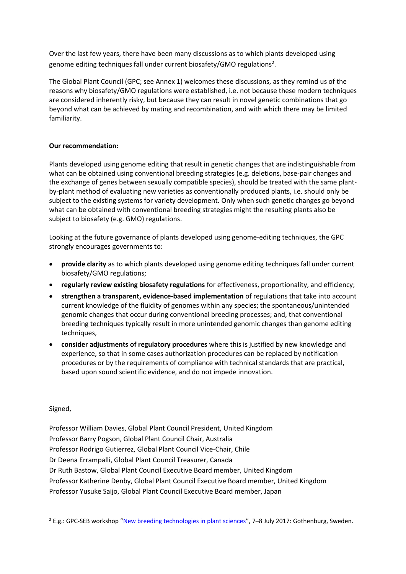Over the last few years, there have been many discussions as to which plants developed using genome editing techniques fall under current biosafety/GMO regulations<sup>2</sup>.

The Global Plant Council (GPC; see Annex 1) welcomes these discussions, as they remind us of the reasons why biosafety/GMO regulations were established, i.e. not because these modern techniques are considered inherently risky, but because they can result in novel genetic combinations that go beyond what can be achieved by mating and recombination, and with which there may be limited familiarity.

### **Our recommendation:**

Plants developed using genome editing that result in genetic changes that are indistinguishable from what can be obtained using conventional breeding strategies (e.g. deletions, base-pair changes and the exchange of genes between sexually compatible species), should be treated with the same plantby-plant method of evaluating new varieties as conventionally produced plants, i.e. should only be subject to the existing systems for variety development. Only when such genetic changes go beyond what can be obtained with conventional breeding strategies might the resulting plants also be subject to biosafety (e.g. GMO) regulations.

Looking at the future governance of plants developed using genome-editing techniques, the GPC strongly encourages governments to:

- **provide clarity** as to which plants developed using genome editing techniques fall under current biosafety/GMO regulations;
- **regularly review existing biosafety regulations** for effectiveness, proportionality, and efficiency;
- **strengthen a transparent, evidence-based implementation** of regulations that take into account current knowledge of the fluidity of genomes within any species; the spontaneous/unintended genomic changes that occur during conventional breeding processes; and, that conventional breeding techniques typically result in more unintended genomic changes than genome editing techniques.
- **consider adjustments of regulatory procedures** where this is justified by new knowledge and experience, so that in some cases authorization procedures can be replaced by notification procedures or by the requirements of compliance with technical standards that are practical, based upon sound scientific evidence, and do not impede innovation.

Signed,

 $\overline{a}$ 

Professor William Davies, Global Plant Council President, United Kingdom Professor Barry Pogson, Global Plant Council Chair, Australia Professor Rodrigo Gutierrez, Global Plant Council Vice-Chair, Chile Dr Deena Errampalli, Global Plant Council Treasurer, Canada Dr Ruth Bastow, Global Plant Council Executive Board member, United Kingdom Professor Katherine Denby, Global Plant Council Executive Board member, United Kingdom Professor Yusuke Saijo, Global Plant Council Executive Board member, Japan

<sup>&</sup>lt;sup>2</sup> E.g.: GPC-SEB workshop "[New breeding technologies in plant sciences](https://www.sebiology.org/events/event/new-breeding-technologies-in-the-plant-sciences)", 7-8 July 2017: Gothenburg, Sweden.